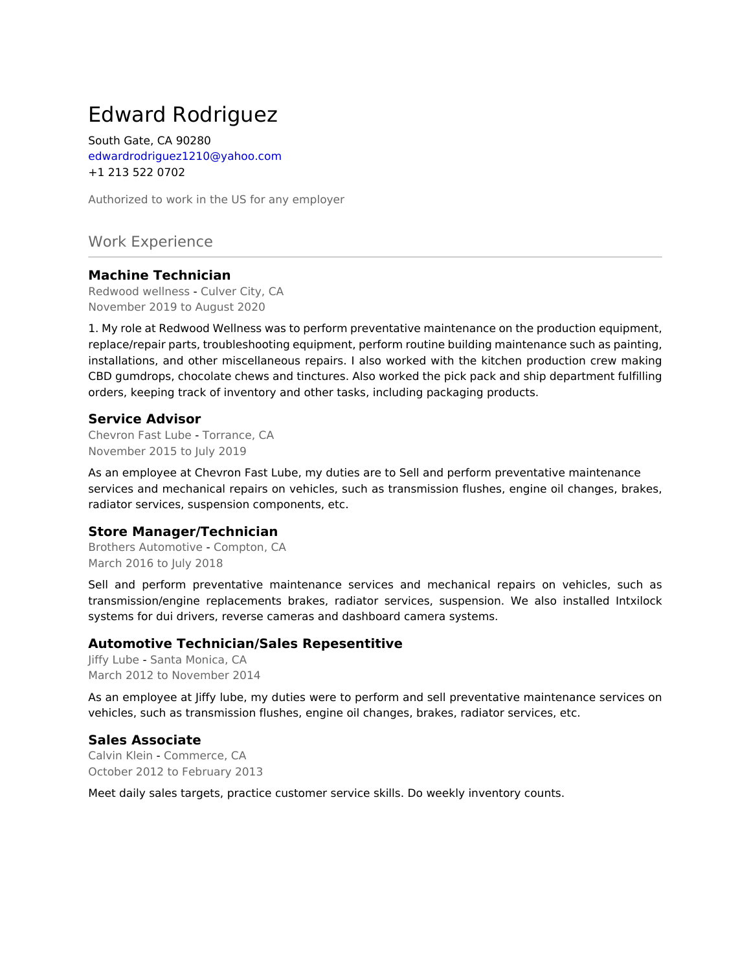# Edward Rodriguez

South Gate, CA 90280 edwardrodriguez1210@yahoo.com +1 213 522 0702

Authorized to work in the US for any employer

Work Experience

# **Machine Technician**

Redwood wellness - Culver City, CA November 2019 to August 2020

1. My role at Redwood Wellness was to perform preventative maintenance on the production equipment, replace/repair parts, troubleshooting equipment, perform routine building maintenance such as painting, installations, and other miscellaneous repairs. I also worked with the kitchen production crew making CBD gumdrops, chocolate chews and tinctures. Also worked the pick pack and ship department fulfilling orders, keeping track of inventory and other tasks, including packaging products.

## **Service Advisor**

Chevron Fast Lube - Torrance, CA November 2015 to July 2019

As an employee at Chevron Fast Lube, my duties are to Sell and perform preventative maintenance services and mechanical repairs on vehicles, such as transmission flushes, engine oil changes, brakes, radiator services, suspension components, etc.

## **Store Manager/Technician**

Brothers Automotive - Compton, CA March 2016 to July 2018

Sell and perform preventative maintenance services and mechanical repairs on vehicles, such as transmission/engine replacements brakes, radiator services, suspension. We also installed Intxilock systems for dui drivers, reverse cameras and dashboard camera systems.

## **Automotive Technician/Sales Repesentitive**

Jiffy Lube - Santa Monica, CA March 2012 to November 2014

As an employee at Jiffy lube, my duties were to perform and sell preventative maintenance services on vehicles, such as transmission flushes, engine oil changes, brakes, radiator services, etc.

## **Sales Associate**

Calvin Klein - Commerce, CA October 2012 to February 2013

Meet daily sales targets, practice customer service skills. Do weekly inventory counts.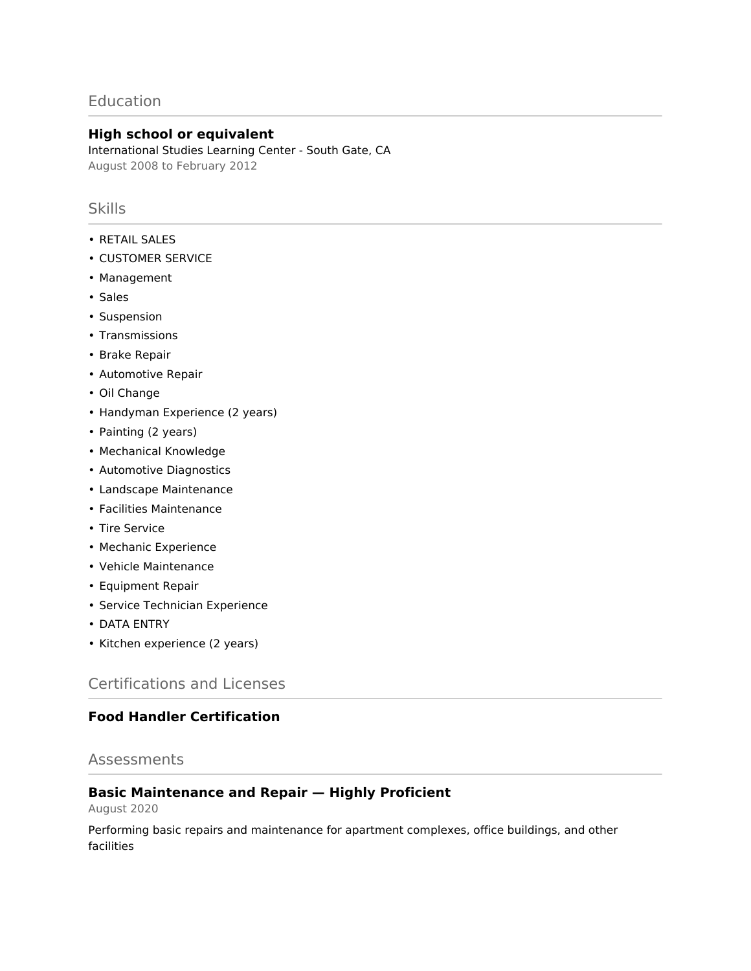# **Education**

# **High school or equivalent**

International Studies Learning Center - South Gate, CA August 2008 to February 2012

# **Skills**

- RETAIL SALES
- CUSTOMER SERVICE
- Management
- Sales
- Suspension
- Transmissions
- Brake Repair
- Automotive Repair
- Oil Change
- Handyman Experience (2 years)
- Painting (2 years)
- Mechanical Knowledge
- Automotive Diagnostics
- Landscape Maintenance
- Facilities Maintenance
- Tire Service
- Mechanic Experience
- Vehicle Maintenance
- Equipment Repair
- Service Technician Experience
- DATA ENTRY
- Kitchen experience (2 years)

# Certifications and Licenses

# **Food Handler Certification**

# Assessments

# **Basic Maintenance and Repair — Highly Proficient**

August 2020

Performing basic repairs and maintenance for apartment complexes, office buildings, and other facilities